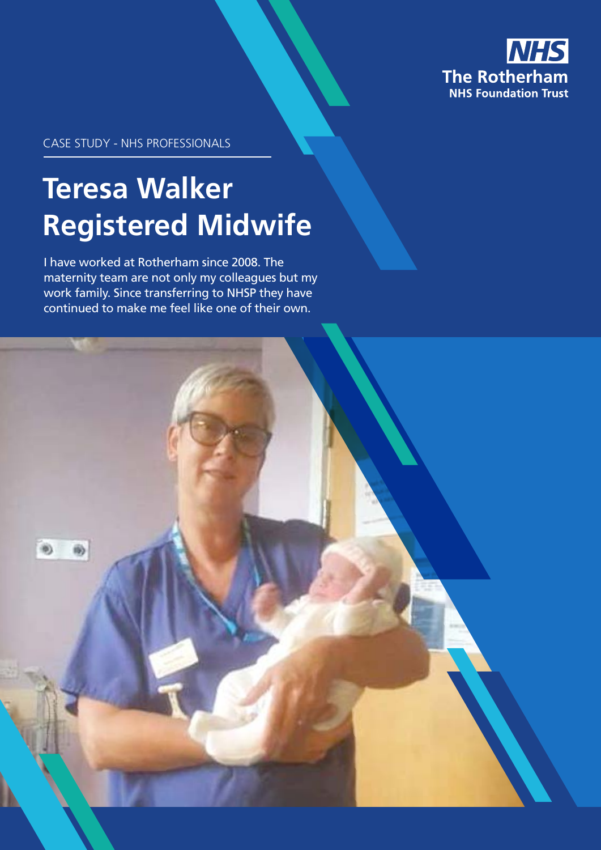

CASE STUDY - NHS PROFESSIONALS

# **Teresa Walker Registered Midwife**

I have worked at Rotherham since 2008. The maternity team are not only my colleagues but my work family. Since transferring to NHSP they have continued to make me feel like one of their own.